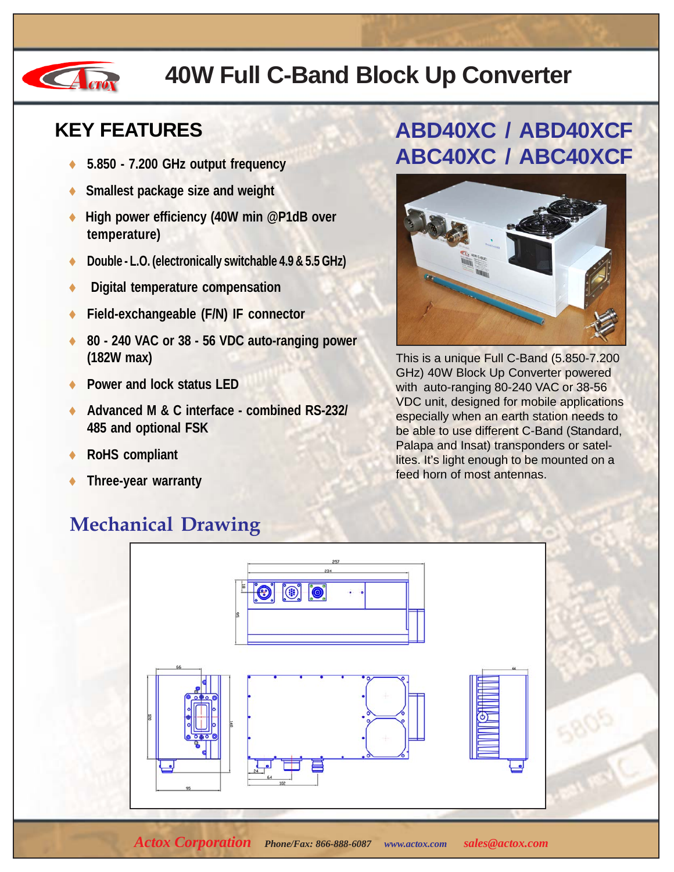

## **40W Full C-Band Block Up Converter**

#### **KEY FEATURES**

- ♦ **5.850 7.200 GHz output frequency**
- **Smallest package size and weight**
- ♦ **High power efficiency (40W min @P1dB over temperature)**
- ♦ **Double L.O. (electronically switchable 4.9 & 5.5 GHz)**
- **Digital temperature compensation**
- ♦ **Field-exchangeable (F/N) IF connector**
- ♦ **80 240 VAC or 38 56 VDC auto-ranging power (182W max)**
- ♦ **Power and lock status LED**
- ♦ **Advanced M & C interface combined RS-232/ 485 and optional FSK**
- **RoHS** compliant
- **Three-year warranty**

#### **Mechanical Drawing**

### **ABD40XC / ABD40XCF ABC40XC / ABC40XCF**



This is a unique Full C-Band (5.850-7.200 GHz) 40W Block Up Converter powered with auto-ranging 80-240 VAC or 38-56 VDC unit, designed for mobile applications especially when an earth station needs to be able to use different C-Band (Standard, Palapa and Insat) transponders or satellites. It's light enough to be mounted on a feed horn of most antennas.